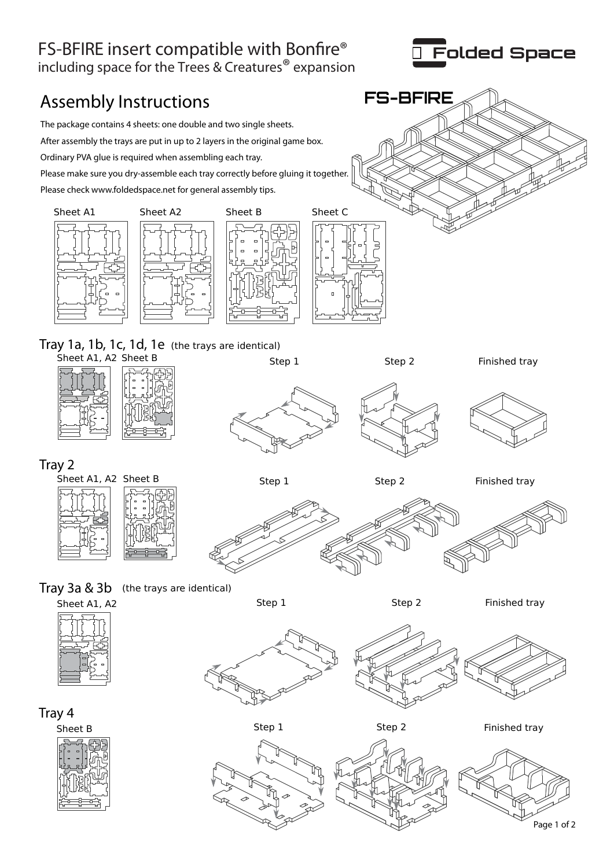# FS-BFIRE insert compatible with Bonfire<sup>®</sup>

including space for the Trees & Creatures® expansion

## Assembly Instructions **FS-BFIRE**

The package contains 4 sheets: one double and two single sheets. After assembly the trays are put in up to 2 layers in the original game box. Ordinary PVA glue is required when assembling each tray. Please make sure you dry-assemble each tray correctly before gluing it together. Please check www.foldedspace.net for general assembly tips.







Sheet A1, A2 Sheet B Tray 1a, 1b, 1c, 1d, 1e (the trays are identical)







Tray 2





Step 1 Step 2 Finished tray









Tray 4











Step 1 Step 2 Finished tray